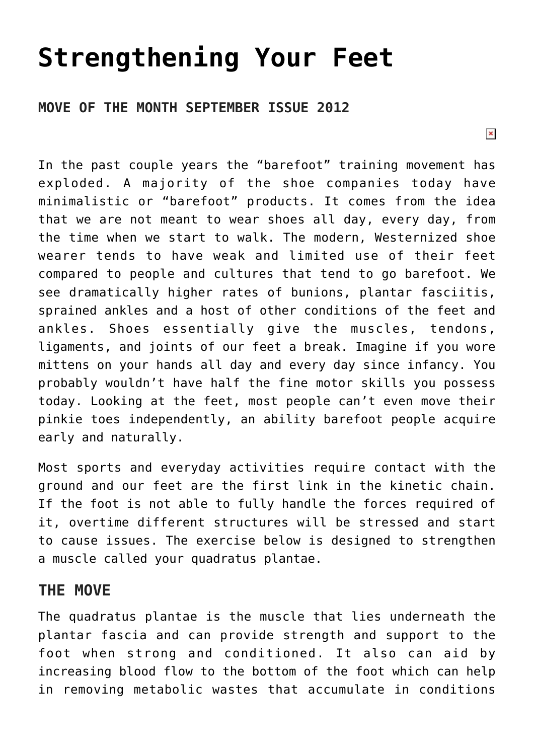## **[Strengthening Your Feet](https://chicagochirosports.com/2012/09/strengthening-your-feet/)**

## **MOVE OF THE MONTH SEPTEMBER ISSUE 2012**

In the past couple years the "barefoot" training movement has exploded. A majority of the shoe companies today have minimalistic or "barefoot" products. It comes from the idea that we are not meant to wear shoes all day, every day, from the time when we start to walk. The modern, Westernized shoe wearer tends to have weak and limited use of their feet compared to people and cultures that tend to go barefoot. We see dramatically higher rates of bunions, plantar fasciitis, sprained ankles and a host of other conditions of the feet and ankles. Shoes essentially give the muscles, tendons, ligaments, and joints of our feet a break. Imagine if you wore mittens on your hands all day and every day since infancy. You probably wouldn't have half the fine motor skills you possess today. Looking at the feet, most people can't even move their pinkie toes independently, an ability barefoot people acquire early and naturally.

Most sports and everyday activities require contact with the ground and our feet are the first link in the kinetic chain. If the foot is not able to fully handle the forces required of it, overtime different structures will be stressed and start to cause issues. The exercise below is designed to strengthen a muscle called your quadratus plantae.

## **THE MOVE**

The quadratus plantae is the muscle that lies underneath the plantar fascia and can provide strength and support to the foot when strong and conditioned. It also can aid by increasing blood flow to the bottom of the foot which can help in removing metabolic wastes that accumulate in conditions

 $\pmb{\times}$